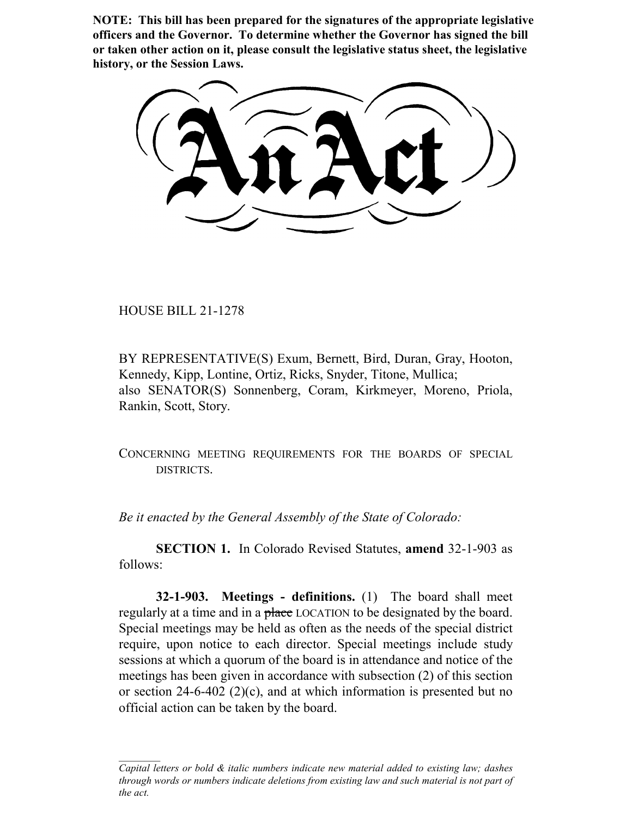**NOTE: This bill has been prepared for the signatures of the appropriate legislative officers and the Governor. To determine whether the Governor has signed the bill or taken other action on it, please consult the legislative status sheet, the legislative history, or the Session Laws.**

HOUSE BILL 21-1278

BY REPRESENTATIVE(S) Exum, Bernett, Bird, Duran, Gray, Hooton, Kennedy, Kipp, Lontine, Ortiz, Ricks, Snyder, Titone, Mullica; also SENATOR(S) Sonnenberg, Coram, Kirkmeyer, Moreno, Priola, Rankin, Scott, Story.

CONCERNING MEETING REQUIREMENTS FOR THE BOARDS OF SPECIAL DISTRICTS.

*Be it enacted by the General Assembly of the State of Colorado:*

**SECTION 1.** In Colorado Revised Statutes, **amend** 32-1-903 as follows:

**32-1-903. Meetings - definitions.** (1) The board shall meet regularly at a time and in a place LOCATION to be designated by the board. Special meetings may be held as often as the needs of the special district require, upon notice to each director. Special meetings include study sessions at which a quorum of the board is in attendance and notice of the meetings has been given in accordance with subsection (2) of this section or section 24-6-402 (2)(c), and at which information is presented but no official action can be taken by the board.

*Capital letters or bold & italic numbers indicate new material added to existing law; dashes through words or numbers indicate deletions from existing law and such material is not part of the act.*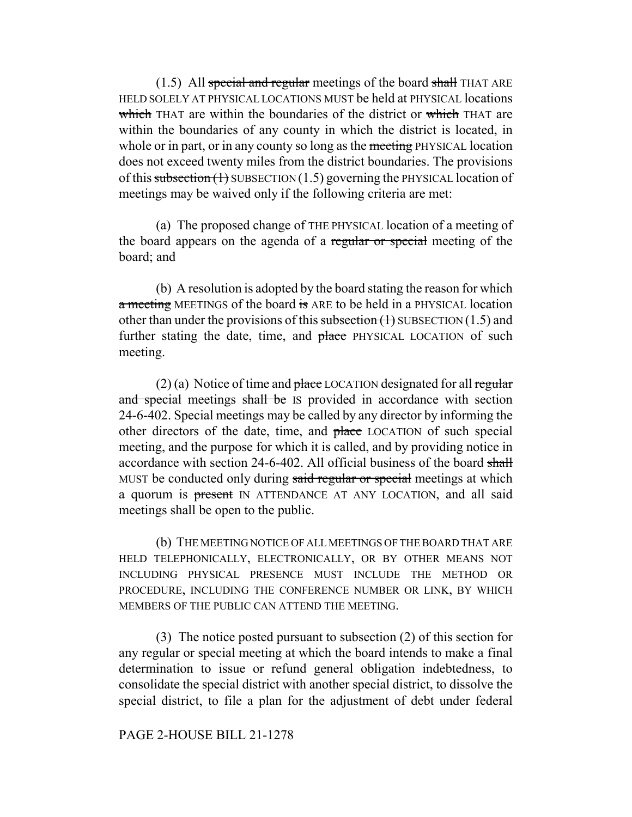$(1.5)$  All special and regular meetings of the board shall THAT ARE HELD SOLELY AT PHYSICAL LOCATIONS MUST be held at PHYSICAL locations which THAT are within the boundaries of the district or which THAT are within the boundaries of any county in which the district is located, in whole or in part, or in any county so long as the meeting PHYSICAL location does not exceed twenty miles from the district boundaries. The provisions of this subsection  $(1)$  SUBSECTION  $(1.5)$  governing the PHYSICAL location of meetings may be waived only if the following criteria are met:

(a) The proposed change of THE PHYSICAL location of a meeting of the board appears on the agenda of a regular or special meeting of the board; and

(b) A resolution is adopted by the board stating the reason for which a meeting MEETINGS of the board is ARE to be held in a PHYSICAL location other than under the provisions of this subsection  $(1)$  SUBSECTION  $(1.5)$  and further stating the date, time, and place PHYSICAL LOCATION of such meeting.

 $(2)$  (a) Notice of time and place LOCATION designated for all regular and special meetings shall be IS provided in accordance with section 24-6-402. Special meetings may be called by any director by informing the other directors of the date, time, and place LOCATION of such special meeting, and the purpose for which it is called, and by providing notice in accordance with section 24-6-402. All official business of the board shall MUST be conducted only during said regular or special meetings at which a quorum is present IN ATTENDANCE AT ANY LOCATION, and all said meetings shall be open to the public.

(b) THE MEETING NOTICE OF ALL MEETINGS OF THE BOARD THAT ARE HELD TELEPHONICALLY, ELECTRONICALLY, OR BY OTHER MEANS NOT INCLUDING PHYSICAL PRESENCE MUST INCLUDE THE METHOD OR PROCEDURE, INCLUDING THE CONFERENCE NUMBER OR LINK, BY WHICH MEMBERS OF THE PUBLIC CAN ATTEND THE MEETING.

(3) The notice posted pursuant to subsection (2) of this section for any regular or special meeting at which the board intends to make a final determination to issue or refund general obligation indebtedness, to consolidate the special district with another special district, to dissolve the special district, to file a plan for the adjustment of debt under federal

## PAGE 2-HOUSE BILL 21-1278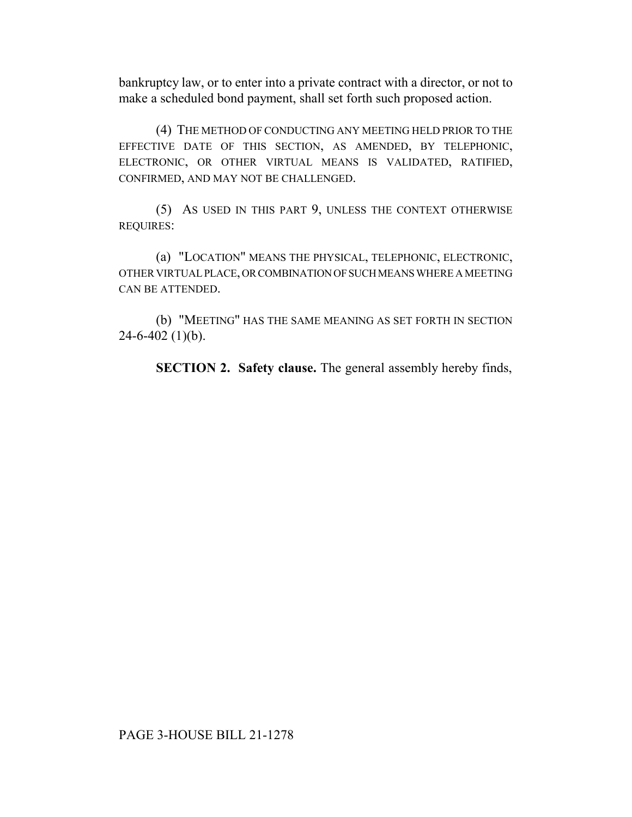bankruptcy law, or to enter into a private contract with a director, or not to make a scheduled bond payment, shall set forth such proposed action.

(4) THE METHOD OF CONDUCTING ANY MEETING HELD PRIOR TO THE EFFECTIVE DATE OF THIS SECTION, AS AMENDED, BY TELEPHONIC, ELECTRONIC, OR OTHER VIRTUAL MEANS IS VALIDATED, RATIFIED, CONFIRMED, AND MAY NOT BE CHALLENGED.

(5) AS USED IN THIS PART 9, UNLESS THE CONTEXT OTHERWISE REQUIRES:

(a) "LOCATION" MEANS THE PHYSICAL, TELEPHONIC, ELECTRONIC, OTHER VIRTUAL PLACE, OR COMBINATION OF SUCH MEANS WHERE A MEETING CAN BE ATTENDED.

(b) "MEETING" HAS THE SAME MEANING AS SET FORTH IN SECTION  $24-6-402$  (1)(b).

**SECTION 2. Safety clause.** The general assembly hereby finds,